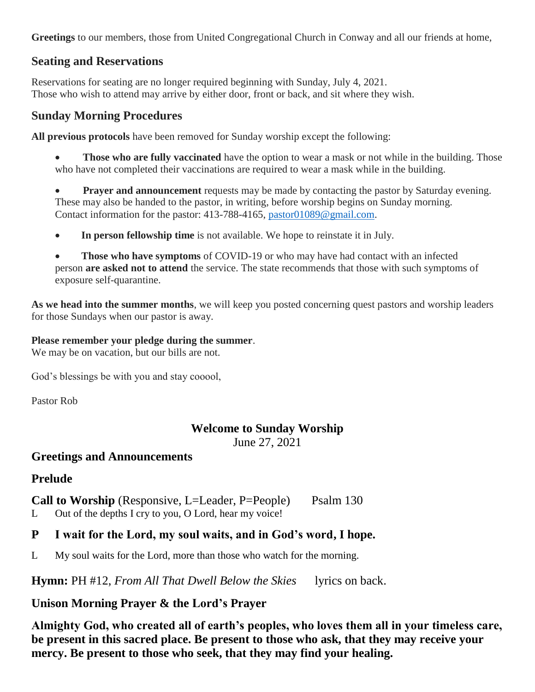**Greetings** to our members, those from United Congregational Church in Conway and all our friends at home,

## **Seating and Reservations**

Reservations for seating are no longer required beginning with Sunday, July 4, 2021. Those who wish to attend may arrive by either door, front or back, and sit where they wish.

## **Sunday Morning Procedures**

**All previous protocols** have been removed for Sunday worship except the following:

**Those who are fully vaccinated** have the option to wear a mask or not while in the building. Those who have not completed their vaccinations are required to wear a mask while in the building.

**Prayer and announcement** requests may be made by contacting the pastor by Saturday evening. These may also be handed to the pastor, in writing, before worship begins on Sunday morning. Contact information for the pastor: 413-788-4165, [pastor01089@gmail.com.](mailto:pastor01089@gmail.com)

**In person fellowship time** is not available. We hope to reinstate it in July.

 **Those who have symptoms** of COVID-19 or who may have had contact with an infected person **are asked not to attend** the service. The state recommends that those with such symptoms of exposure self-quarantine.

**As we head into the summer months**, we will keep you posted concerning quest pastors and worship leaders for those Sundays when our pastor is away.

#### **Please remember your pledge during the summer**.

We may be on vacation, but our bills are not.

God's blessings be with you and stay cooool,

Pastor Rob

# **Welcome to Sunday Worship**

June 27, 2021

## **Greetings and Announcements**

# **Prelude**

# **Call to Worship** (Responsive, L=Leader, P=People) Psalm 130

L Out of the depths I cry to you, O Lord, hear my voice!

# **P I wait for the Lord, my soul waits, and in God's word, I hope.**

L My soul waits for the Lord, more than those who watch for the morning.

**Hymn:** PH #12, *From All That Dwell Below the Skies* lyrics on back.

# **Unison Morning Prayer & the Lord's Prayer**

**Almighty God, who created all of earth's peoples, who loves them all in your timeless care, be present in this sacred place. Be present to those who ask, that they may receive your mercy. Be present to those who seek, that they may find your healing.**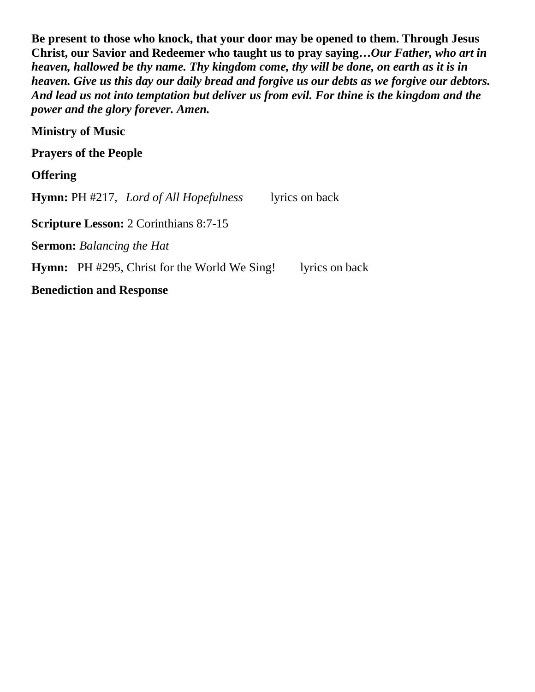**Be present to those who knock, that your door may be opened to them. Through Jesus Christ, our Savior and Redeemer who taught us to pray saying…***Our Father, who art in heaven, hallowed be thy name. Thy kingdom come, thy will be done, on earth as it is in heaven. Give us this day our daily bread and forgive us our debts as we forgive our debtors. And lead us not into temptation but deliver us from evil. For thine is the kingdom and the power and the glory forever. Amen.*

**Ministry of Music**

**Prayers of the People**

**Offering**

**Hymn:** PH #217, *Lord of All Hopefulness*lyrics on back **Scripture Lesson:** 2 Corinthians 8:7-15 **Sermon:** *Balancing the Hat*

**Hymn:** PH #295, Christ for the World We Sing! lyrics on back

**Benediction and Response**